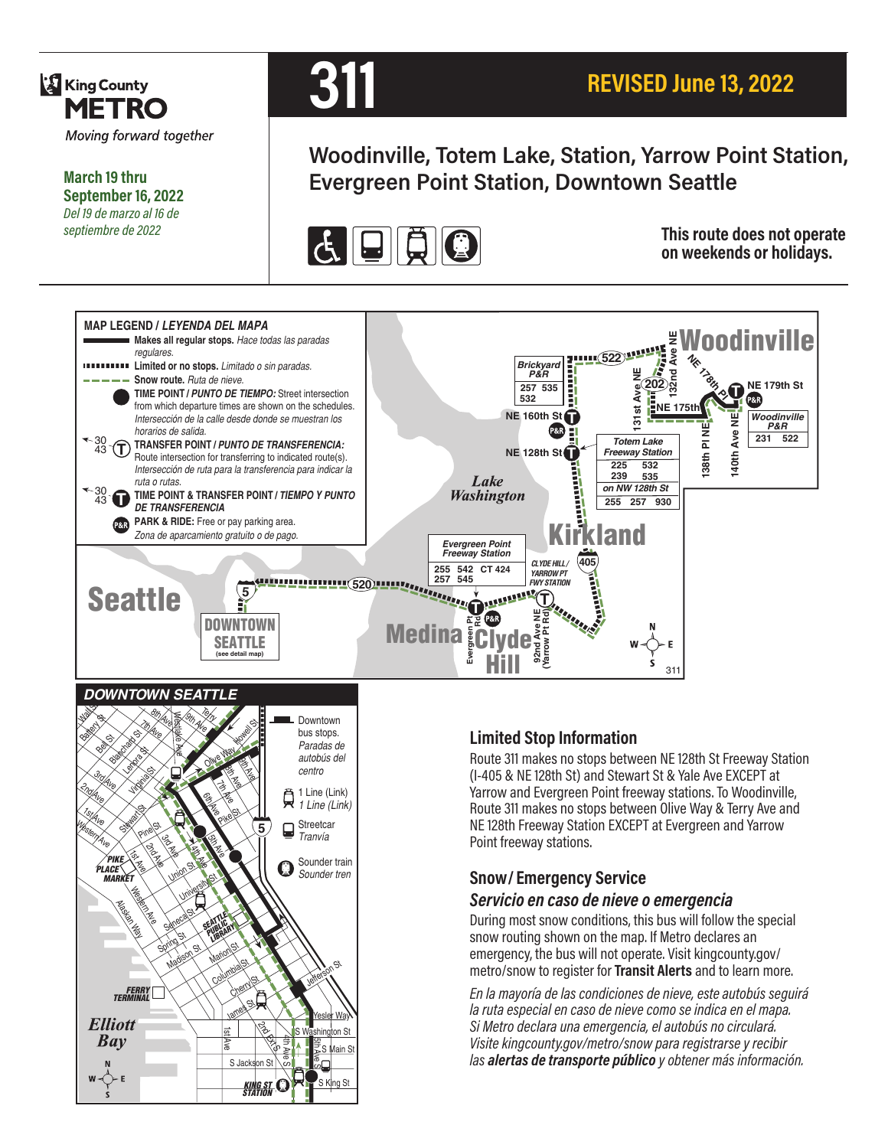

**March 19 thru September 16, 2022** *Del 19 de marzo al 16 de septiembre de 2022*



# **Woodinville, Totem Lake, Station, Yarrow Point Station, Evergreen Point Station, Downtown Seattle**



**This route does not operate on weekends or holidays.**





## **Limited Stop Information**

Route 311 makes no stops between NE 128th St Freeway Station (I-405 & NE 128th St) and Stewart St & Yale Ave EXCEPT at Yarrow and Evergreen Point freeway stations. To Woodinville, Route 311 makes no stops between Olive Way & Terry Ave and NE 128th Freeway Station EXCEPT at Evergreen and Yarrow Point freeway stations.

## **Snow/ Emergency Service**

#### *Servicio en caso de nieve o emergencia*

During most snow conditions, this bus will follow the special snow routing shown on the map. If Metro declares an emergency, the bus will not operate. Visit kingcounty.gov/ metro/snow to register for **Transit Alerts** and to learn more.

*En la mayoría de las condiciones de nieve, este autobús seguirá la ruta especial en caso de nieve como se indica en el mapa. Si Metro declara una emergencia, el autobús no circulará. Visite kingcounty.gov/metro/snow para registrarse y recibir las alertas de transporte público y obtener más información.*